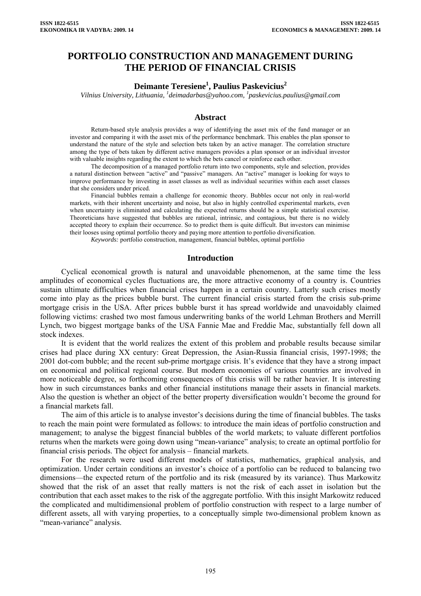# **PORTFOLIO CONSTRUCTION AND MANAGEMENT DURING THE PERIOD OF FINANCIAL CRISIS**

# **Deimante Teresiene<sup>1</sup> , Paulius Paskevicius2**

*Vilnius University, Lithuania, 1 deimadarbas@yahoo.com, <sup>1</sup> paskevicius.paulius@gmail.com* 

## **Abstract**

Return-based style analysis provides a way of identifying the asset mix of the fund manager or an investor and comparing it with the asset mix of the performance benchmark. This enables the plan sponsor to understand the nature of the style and selection bets taken by an active manager. The correlation structure among the type of bets taken by different active managers provides a plan sponsor or an individual investor with valuable insights regarding the extent to which the bets cancel or reinforce each other.

The decomposition of a managed portfolio return into two components, style and selection, provides a natural distinction between "active" and "passive" managers. An "active" manager is looking for ways to improve performance by investing in asset classes as well as individual securities within each asset classes that she considers under priced.

Financial bubbles remain a challenge for economic theory. Bubbles occur not only in real-world markets, with their inherent uncertainty and noise, but also in highly controlled experimental markets, even when uncertainty is eliminated and calculating the expected returns should be a simple statistical exercise. Theoreticians have suggested that bubbles are rational, intrinsic, and contagious, but there is no widely accepted theory to explain their occurrence. So to predict them is quite difficult. But investors can minimise their looses using optimal portfolio theory and paying more attention to portfolio diversification.

*Keywords:* portfolio construction, management, financial bubbles, optimal portfolio

#### **Introduction**

Cyclical economical growth is natural and unavoidable phenomenon, at the same time the less amplitudes of economical cycles fluctuations are, the more attractive economy of a country is. Countries sustain ultimate difficulties when financial crises happen in a certain country. Latterly such crises mostly come into play as the prices bubble burst. The current financial crisis started from the crisis sub-prime mortgage crisis in the USA. After prices bubble burst it has spread worldwide and unavoidably claimed following victims: crashed two most famous underwriting banks of the world Lehman Brothers and Merrill Lynch, two biggest mortgage banks of the USA Fannie Mae and Freddie Mac, substantially fell down all stock indexes.

It is evident that the world realizes the extent of this problem and probable results because similar crises had place during XX century: Great Depression, the Asian-Russia financial crisis, 1997-1998; the 2001 dot-com bubble; and the recent sub-prime mortgage crisis. It's evidence that they have a strong impact on economical and political regional course. But modern economies of various countries are involved in more noticeable degree, so forthcoming consequences of this crisis will be rather heavier. It is interesting how in such circumstances banks and other financial institutions manage their assets in financial markets. Also the question is whether an object of the better property diversification wouldn't become the ground for a financial markets fall.

The aim of this article is to analyse investor's decisions during the time of financial bubbles. The tasks to reach the main point were formulated as follows: to introduce the main ideas of portfolio construction and management; to analyse the biggest financial bubbles of the world markets; to valuate different portfolios returns when the markets were going down using "mean-variance" analysis; to create an optimal portfolio for financial crisis periods. The object for analysis – financial markets.

For the research were used different models of statistics, mathematics, graphical analysis, and optimization. Under certain conditions an investor's choice of a portfolio can be reduced to balancing two dimensions—the expected return of the portfolio and its risk (measured by its variance). Thus Markowitz showed that the risk of an asset that really matters is not the risk of each asset in isolation but the contribution that each asset makes to the risk of the aggregate portfolio. With this insight Markowitz reduced the complicated and multidimensional problem of portfolio construction with respect to a large number of different assets, all with varying properties, to a conceptually simple two-dimensional problem known as "mean-variance" analysis.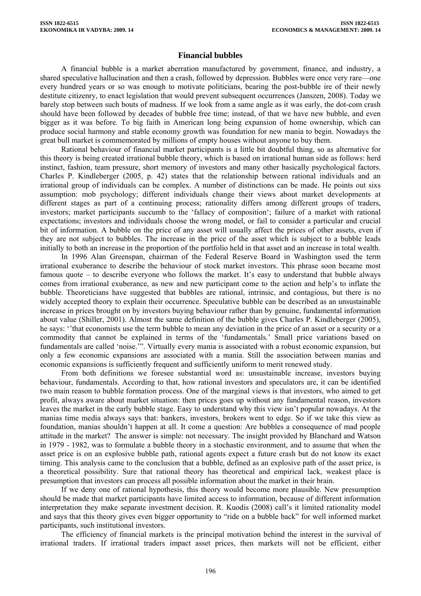## **Financial bubbles**

A financial bubble is a market aberration manufactured by government, finance, and industry, a shared speculative hallucination and then a crash, followed by depression. Bubbles were once very rare—one every hundred years or so was enough to motivate politicians, bearing the post-bubble ire of their newly destitute citizenry, to enact legislation that would prevent subsequent occurrences (Janszen, 2008). Today we barely stop between such bouts of madness. If we look from a same angle as it was early, the dot-com crash should have been followed by decades of bubble free time; instead, of that we have new bubble, and even bigger as it was before. To big faith in American long being expansion of home ownership, which can produce social harmony and stable economy growth was foundation for new mania to begin. Nowadays the great bull market is commemorated by millions of empty houses without anyone to buy them.

Rational behaviour of financial market participants is a little bit doubtful thing, so as alternative for this theory is being created irrational bubble theory, which is based on irrational human side as follows: herd instinct, fashion, team pressure, short memory of investors and many other basically psychological factors. Charles P. Kindleberger (2005, p. 42) states that the relationship between rational individuals and an irrational group of individuals can be complex. A number of distinctions can be made. He points out sixs assumption: mob psychology; different individuals change their views about market developments at different stages as part of a continuing process; rationality differs among different groups of traders, investors; market participants succumb to the 'fallacy of composition'; failure of a market with rational expectations; investors and individuals choose the wrong model, or fail to consider a particular and crucial bit of information. A bubble on the price of any asset will usually affect the prices of other assets, even if they are not subject to bubbles. The increase in the price of the asset which is subject to a bubble leads initially to both an increase in the proportion of the portfolio held in that asset and an increase in total wealth.

In 1996 Alan Greenspan, chairman of the Federal Reserve Board in Washington used the term irrational exuberance to describe the behaviour of stock market investors. This phrase soon became most famous quote – to describe everyone who follows the market. It's easy to understand that bubble always comes from irrational exuberance, as new and new participant come to the action and help's to inflate the bubble. Theoreticians have suggested that bubbles are rational, intrinsic, and contagious, but there is no widely accepted theory to explain their occurrence. Speculative bubble can be described as an unsustainable increase in prices brought on by investors buying behaviour rather than by genuine, fundamental information about value (Shiller, 2001). Almost the same definition of the bubble gives Charles P. Kindleberger (2005), he says: "that economists use the term bubble to mean any deviation in the price of an asset or a security or a commodity that cannot be explained in terms of the 'fundamentals.' Small price variations based on fundamentals are called 'noise.'". Virtually every mania is associated with a robust economic expansion, but only a few economic expansions are associated with a mania. Still the association between manias and economic expansions is sufficiently frequent and sufficiently uniform to merit renewed study.

From both definitions we foresee substantial word as: unsustainable increase, investors buying behaviour, fundamentals. According to that, how rational investors and speculators are, it can be identified two main reason to bubble formation process. One of the marginal views is that investors, who aimed to get profit, always aware about market situation: then prices goes up without any fundamental reason, investors leaves the market in the early bubble stage. Easy to understand why this view isn't popular nowadays. At the manias time media always says that: bankers, investors, brokers went to edge. So if we take this view as foundation, manias shouldn't happen at all. It come a question: Are bubbles a consequence of mad people attitude in the market? The answer is simple: not necessary. The insight provided by Blanchard and Watson in 1979 - 1982, was to formulate a bubble theory in a stochastic environment, and to assume that when the asset price is on an explosive bubble path, rational agents expect a future crash but do not know its exact timing. This analysis came to the conclusion that a bubble, defined as an explosive path of the asset price, is a theoretical possibility. Sure that rational theory has theoretical and empirical lack, weakest place is presumption that investors can process all possible information about the market in their brain.

If we deny one of rational hypothesis, this theory would become more plausible. New presumption should be made that market participants have limited access to information, because of different information interpretation they make separate investment decision. R. Kuodis (2008) call's it limited rationality model and says that this theory gives even bigger opportunity to "ride on a bubble back" for well informed market participants, such institutional investors.

The efficiency of financial markets is the principal motivation behind the interest in the survival of irrational traders. If irrational traders impact asset prices, then markets will not be efficient, either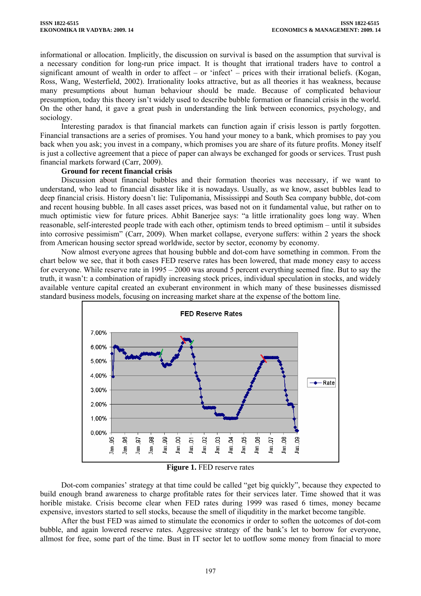informational or allocation. Implicitly, the discussion on survival is based on the assumption that survival is a necessary condition for long-run price impact. It is thought that irrational traders have to control a significant amount of wealth in order to affect – or 'infect' – prices with their irrational beliefs. (Kogan, Ross, Wang, Westerfield, 2002). Irrationality looks attractive, but as all theories it has weakness, because many presumptions about human behaviour should be made. Because of complicated behaviour presumption, today this theory isn't widely used to describe bubble formation or financial crisis in the world. On the other hand, it gave a great push in understanding the link between economics, psychology, and sociology.

Interesting paradox is that financial markets can function again if crisis lesson is partly forgotten. Financial transactions are a series of promises. You hand your money to a bank, which promises to pay you back when you ask; you invest in a company, which promises you are share of its future profits. Money itself is just a collective agreement that a piece of paper can always be exchanged for goods or services. Trust push financial markets forward (Carr, 2009).

#### **Ground for recent financial crisis**

Discussion about financial bubbles and their formation theories was necessary, if we want to understand, who lead to financial disaster like it is nowadays. Usually, as we know, asset bubbles lead to deep financial crisis. History doesn't lie: Tulipomania, Mississippi and South Sea company bubble, dot-com and recent housing bubble. In all cases asset prices, was based not on it fundamental value, but rather on to much optimistic view for future prices. Abhit Banerjee says: "a little irrationality goes long way. When reasonable, self-interested people trade with each other, optimism tends to breed optimism – until it subsides into corrosive pessimism" (Carr, 2009). When market collapse, everyone suffers: within 2 years the shock from American housing sector spread worldwide, sector by sector, economy by economy.

Now almost everyone agrees that housing bubble and dot-com have something in common. From the chart below we see, that it both cases FED reserve rates has been lowered, that made money easy to access for everyone. While reserve rate in 1995 – 2000 was around 5 percent everything seemed fine. But to say the truth, it wasn't: a combination of rapidly increasing stock prices, individual speculation in stocks, and widely available venture capital created an exuberant environment in which many of these businesses dismissed standard business models, focusing on increasing market share at the expense of the bottom line.



**Figure 1.** FED reserve rates

Dot-com companies' strategy at that time could be called "get big quickly", because they expected to build enough brand awareness to charge profitable rates for their services later. Time showed that it was horible mistake. Crisis become clear when FED rates during 1999 was rased 6 times, money became expensive, investors started to sell stocks, because the smell of iliquditity in the market become tangible.

After the bust FED was aimed to stimulate the economics ir order to soften the uotcomes of dot-com bubble, and again lowered reserve rates. Aggressive strategy of the bank's let to borrow for everyone, allmost for free, some part of the time. Bust in IT sector let to uotflow some money from finacial to more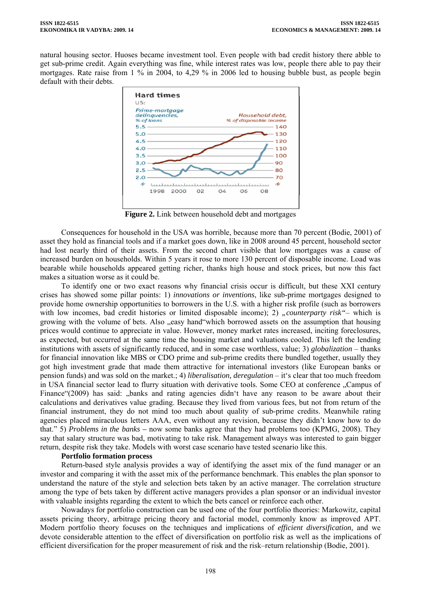natural housing sector. Huoses became investment tool. Even people with bad credit history there abble to get sub-prime credit. Again everything was fine, while interest rates was low, people there able to pay their mortgages. Rate raise from 1 % in 2004, to 4,29 % in 2006 led to housing bubble bust, as people begin default with their debts.



**Figure 2.** Link between household debt and mortgages

Consequences for household in the USA was horrible, because more than 70 percent (Bodie, 2001) of asset they hold as financial tools and if a market goes down, like in 2008 around 45 percent, household sector had lost nearly third of their assets. From the second chart visible that low mortgages was a cause of increased burden on households. Within 5 years it rose to more 130 percent of disposable income. Load was bearable while households appeared getting richer, thanks high house and stock prices, but now this fact makes a situation worse as it could be.

To identify one or two exact reasons why financial crisis occur is difficult, but these XXI century crises has showed some pillar points: 1) *innovations or inventions*, like sub-prime mortgages designed to provide home ownership opportunities to borrowers in the U.S. with a higher risk profile (such as borrowers with low incomes, bad credit histories or limited disposable income); 2) "counterparty risk"- which is growing with the volume of bets. Also <sub>"e</sub>easy hand"which borrowed assets on the assumption that housing prices would continue to appreciate in value. However, money market rates increased, inciting foreclosures, as expected, but occurred at the same time the housing market and valuations cooled. This left the lending institutions with assets of significantly reduced, and in some case worthless, value; 3) *globalization* – thanks for financial innovation like MBS or CDO prime and sub-prime credits there bundled together, usually they got high investment grade that made them attractive for international investors (like European banks or pension funds) and was sold on the market.; 4) *liberalisation, deregulation* – it's clear that too much freedom in USA financial sector lead to flurry situation with derivative tools. Some CEO at conference "Campus of Finance"(2009) has said: "banks and rating agencies didn't have any reason to be aware about their calculations and derivatives value grading. Because they lived from various fees, but not from return of the financial instrument, they do not mind too much about quality of sub-prime credits. Meanwhile rating agencies placed miraculous letters AAA, even without any revision, because they didn't know how to do that." 5) *Problems in the banks –* now some banks agree that they had problems too (KPMG, 2008). They say that salary structure was bad, motivating to take risk. Management always was interested to gain bigger return, despite risk they take. Models with worst case scenario have tested scenario like this.

## **Portfolio formation process**

Return-based style analysis provides a way of identifying the asset mix of the fund manager or an investor and comparing it with the asset mix of the performance benchmark. This enables the plan sponsor to understand the nature of the style and selection bets taken by an active manager. The correlation structure among the type of bets taken by different active managers provides a plan sponsor or an individual investor with valuable insights regarding the extent to which the bets cancel or reinforce each other.

Nowadays for portfolio construction can be used one of the four portfolio theories: Markowitz, capital assets pricing theory, arbitrage pricing theory and factorial model, commonly know as improved APT. Modern portfolio theory focuses on the techniques and implications of *efficient diversification,* and we devote considerable attention to the effect of diversification on portfolio risk as well as the implications of efficient diversification for the proper measurement of risk and the risk–return relationship (Bodie, 2001).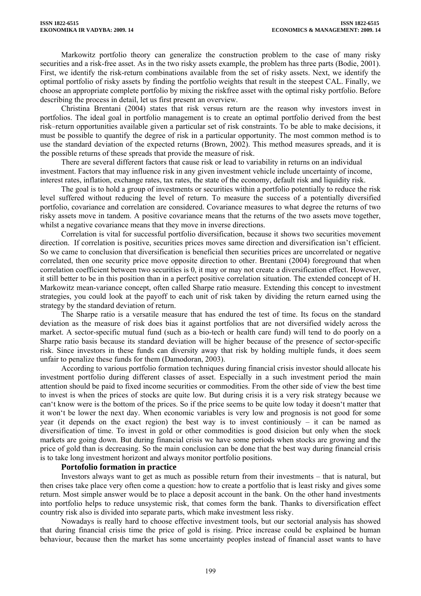Markowitz portfolio theory can generalize the construction problem to the case of many risky securities and a risk-free asset. As in the two risky assets example, the problem has three parts (Bodie, 2001). First, we identify the risk-return combinations available from the set of risky assets. Next, we identify the optimal portfolio of risky assets by finding the portfolio weights that result in the steepest CAL. Finally, we choose an appropriate complete portfolio by mixing the riskfree asset with the optimal risky portfolio. Before describing the process in detail, let us first present an overview.

Christina Brentani (2004) states that risk versus return are the reason why investors invest in portfolios. The ideal goal in portfolio management is to create an optimal portfolio derived from the best risk–return opportunities available given a particular set of risk constraints. To be able to make decisions, it must be possible to quantify the degree of risk in a particular opportunity. The most common method is to use the standard deviation of the expected returns (Brown, 2002). This method measures spreads, and it is the possible returns of these spreads that provide the measure of risk.

There are several different factors that cause risk or lead to variability in returns on an individual investment. Factors that may influence risk in any given investment vehicle include uncertainty of income, interest rates, inflation, exchange rates, tax rates, the state of the economy, default risk and liquidity risk.

The goal is to hold a group of investments or securities within a portfolio potentially to reduce the risk level suffered without reducing the level of return. To measure the success of a potentially diversified portfolio, covariance and correlation are considered. Covariance measures to what degree the returns of two risky assets move in tandem. A positive covariance means that the returns of the two assets move together, whilst a negative covariance means that they move in inverse directions.

Correlation is vital for successful portfolio diversification, because it shows two securities movement direction. If correlation is positive, securities prices moves same direction and diversification isn't efficient. So we came to conclusion that diversification is beneficial then securities prices are uncorrelated or negative correlated, then one security price move opposite direction to other. Brentani (2004) foreground that when correlation coefficient between two securities is 0, it may or may not create a diversification effect. However, it still better to be in this position than in a perfect positive correlation situation. The extended concept of H. Markowitz mean-variance concept, often called Sharpe ratio measure. Extending this concept to investment strategies, you could look at the payoff to each unit of risk taken by dividing the return earned using the strategy by the standard deviation of return.

The Sharpe ratio is a versatile measure that has endured the test of time. Its focus on the standard deviation as the measure of risk does bias it against portfolios that are not diversified widely across the market. A sector-specific mutual fund (such as a bio-tech or health care fund) will tend to do poorly on a Sharpe ratio basis because its standard deviation will be higher because of the presence of sector-specific risk. Since investors in these funds can diversity away that risk by holding multiple funds, it does seem unfair to penalize these funds for them (Damodoran, 2003).

According to various portfolio formation techniques during financial crisis investor should allocate his investment portfolio during different classes of asset. Especially in a such investment period the main attention should be paid to fixed income securities or commodities. From the other side of view the best time to invest is when the prices of stocks are quite low. But during crisis it is a very risk strategy because we can't know were is the bottom of the prices. So if the price seems to be quite low today it doesn't matter that it won't be lower the next day. When economic variables is very low and prognosis is not good for some year (it depends on the exact region) the best way is to invest continiously – it can be named as diversification of time. To invest in gold or other commodities is good disicion but only when the stock markets are going down. But during financial crisis we have some periods when stocks are growing and the price of gold than is decreasing. So the main conclusion can be done that the best way during financial crisis is to take long investment horizont and always monitor portfolio positions.

## **Portofolio formation in practice**

Investors always want to get as much as possible return from their investments – that is natural, but then crises take place very often come a question: how to create a portfolio that is least risky and gives some return. Most simple answer would be to place a deposit account in the bank. On the other hand investments into portfolio helps to reduce unsystemic risk, that comes form the bank. Thanks to diversification effect country risk also is divided into separate parts, which make investment less risky.

Nowadays is really hard to choose effective investment tools, but our sectorial analysis has showed that during financial crisis time the price of gold is rising. Price increase could be explained be human behaviour, because then the market has some uncertainty peoples instead of financial asset wants to have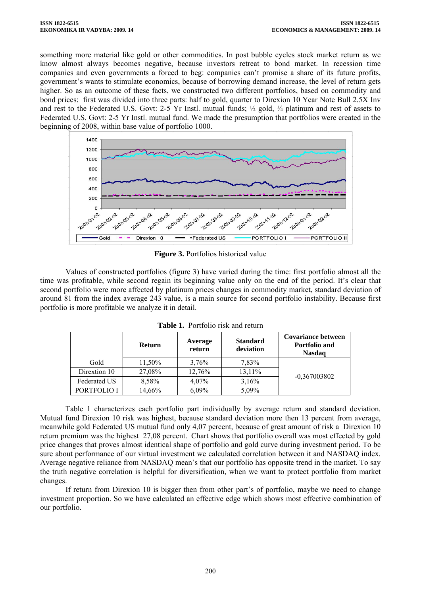something more material like gold or other commodities. In post bubble cycles stock market return as we know almost always becomes negative, because investors retreat to bond market. In recession time companies and even governments a forced to beg: companies can't promise a share of its future profits, government's wants to stimulate economics, because of borrowing demand increase, the level of return gets higher. So as an outcome of these facts, we constructed two different portfolios, based on commodity and bond prices: first was divided into three parts: half to gold, quarter to Direxion 10 Year Note Bull 2.5X Inv and rest to the Federated U.S. Govt: 2-5 Yr Instl. mutual funds; ½ gold, ¼ platinum and rest of assets to Federated U.S. Govt: 2-5 Yr Instl. mutual fund. We made the presumption that portfolios were created in the beginning of 2008, within base value of portfolio 1000.



**Figure 3.** Portfolios historical value

Values of constructed portfolios (figure 3) have varied during the time: first portfolio almost all the time was profitable, while second regain its beginning value only on the end of the period. It's clear that second portfolio were more affected by platinum prices changes in commodity market, standard deviation of around 81 from the index average 243 value, is a main source for second portfolio instability. Because first portfolio is more profitable we analyze it in detail.

|                     | Return | Average<br>return | <b>Standard</b><br>deviation | <b>Covariance between</b><br><b>Portfolio and</b><br><b>Nasdaq</b> |  |
|---------------------|--------|-------------------|------------------------------|--------------------------------------------------------------------|--|
| Gold                | 11,50% | 3,76%             | 7,83%                        | $-0,367003802$                                                     |  |
| Dirextion 10        | 27,08% | 12,76%            | 13,11%                       |                                                                    |  |
| <b>Federated US</b> | 8,58%  | $4.07\%$          | 3,16%                        |                                                                    |  |
| PORTFOLIO I         | 14,66% | $6,09\%$          | 5,09%                        |                                                                    |  |

**Table 1.** Portfolio risk and return

Table 1 characterizes each portfolio part individually by average return and standard deviation. Mutual fund Direxion 10 risk was highest, because standard deviation more then 13 percent from average, meanwhile gold Federated US mutual fund only 4,07 percent, because of great amount of risk a Direxion 10 return premium was the highest 27,08 percent. Chart shows that portfolio overall was most effected by gold price changes that proves almost identical shape of portfolio and gold curve during investment period. To be sure about performance of our virtual investment we calculated correlation between it and NASDAQ index. Average negative reliance from NASDAQ mean's that our portfolio has opposite trend in the market. To say the truth negative correlation is helpful for diversification, when we want to protect portfolio from market changes.

If return from Direxion 10 is bigger then from other part's of portfolio, maybe we need to change investment proportion. So we have calculated an effective edge which shows most effective combination of our portfolio.